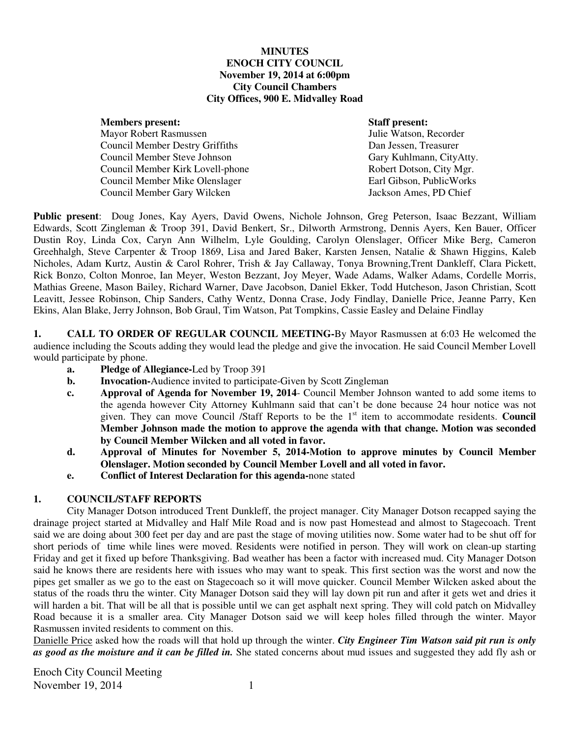### **MINUTES ENOCH CITY COUNCIL November 19, 2014 at 6:00pm City Council Chambers City Offices, 900 E. Midvalley Road**

| <b>Members present:</b>                | <b>Staff present:</b>    |
|----------------------------------------|--------------------------|
| Mayor Robert Rasmussen                 | Julie Watson, Recorder   |
| <b>Council Member Destry Griffiths</b> | Dan Jessen, Treasurer    |
| Council Member Steve Johnson           | Gary Kuhlmann, CityAtty. |
| Council Member Kirk Lovell-phone       | Robert Dotson, City Mgr. |
| Council Member Mike Olenslager         | Earl Gibson, PublicWorks |
| Council Member Gary Wilcken            | Jackson Ames, PD Chief   |

**Public present**: Doug Jones, Kay Ayers, David Owens, Nichole Johnson, Greg Peterson, Isaac Bezzant, William Edwards, Scott Zingleman & Troop 391, David Benkert, Sr., Dilworth Armstrong, Dennis Ayers, Ken Bauer, Officer Dustin Roy, Linda Cox, Caryn Ann Wilhelm, Lyle Goulding, Carolyn Olenslager, Officer Mike Berg, Cameron Greehhalgh, Steve Carpenter & Troop 1869, Lisa and Jared Baker, Karsten Jensen, Natalie & Shawn Higgins, Kaleb Nicholes, Adam Kurtz, Austin & Carol Rohrer, Trish & Jay Callaway, Tonya Browning,Trent Dankleff, Clara Pickett, Rick Bonzo, Colton Monroe, Ian Meyer, Weston Bezzant, Joy Meyer, Wade Adams, Walker Adams, Cordelle Morris, Mathias Greene, Mason Bailey, Richard Warner, Dave Jacobson, Daniel Ekker, Todd Hutcheson, Jason Christian, Scott Leavitt, Jessee Robinson, Chip Sanders, Cathy Wentz, Donna Crase, Jody Findlay, Danielle Price, Jeanne Parry, Ken Ekins, Alan Blake, Jerry Johnson, Bob Graul, Tim Watson, Pat Tompkins, Cassie Easley and Delaine Findlay

**1. CALL TO ORDER OF REGULAR COUNCIL MEETING-**By Mayor Rasmussen at 6:03 He welcomed the audience including the Scouts adding they would lead the pledge and give the invocation. He said Council Member Lovell would participate by phone.

- **a. Pledge of Allegiance-**Led by Troop 391
- **b.** Invocation-Audience invited to participate-Given by Scott Zingleman
- **c. Approval of Agenda for November 19, 2014** Council Member Johnson wanted to add some items to the agenda however City Attorney Kuhlmann said that can't be done because 24 hour notice was not given. They can move Council /Staff Reports to be the 1<sup>st</sup> item to accommodate residents. Council **Member Johnson made the motion to approve the agenda with that change. Motion was seconded by Council Member Wilcken and all voted in favor.**
- **d. Approval of Minutes for November 5, 2014-Motion to approve minutes by Council Member Olenslager. Motion seconded by Council Member Lovell and all voted in favor.**
- **e. Conflict of Interest Declaration for this agenda-**none stated

## **1. COUNCIL/STAFF REPORTS**

City Manager Dotson introduced Trent Dunkleff, the project manager. City Manager Dotson recapped saying the drainage project started at Midvalley and Half Mile Road and is now past Homestead and almost to Stagecoach. Trent said we are doing about 300 feet per day and are past the stage of moving utilities now. Some water had to be shut off for short periods of time while lines were moved. Residents were notified in person. They will work on clean-up starting Friday and get it fixed up before Thanksgiving. Bad weather has been a factor with increased mud. City Manager Dotson said he knows there are residents here with issues who may want to speak. This first section was the worst and now the pipes get smaller as we go to the east on Stagecoach so it will move quicker. Council Member Wilcken asked about the status of the roads thru the winter. City Manager Dotson said they will lay down pit run and after it gets wet and dries it will harden a bit. That will be all that is possible until we can get asphalt next spring. They will cold patch on Midvalley Road because it is a smaller area. City Manager Dotson said we will keep holes filled through the winter. Mayor Rasmussen invited residents to comment on this.

Danielle Price asked how the roads will that hold up through the winter. *City Engineer Tim Watson said pit run is only as good as the moisture and it can be filled in.* She stated concerns about mud issues and suggested they add fly ash or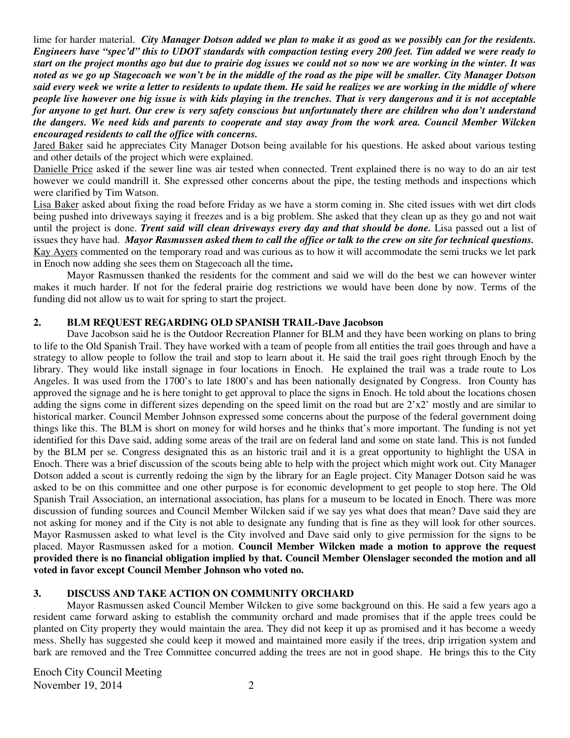lime for harder material.*City Manager Dotson added we plan to make it as good as we possibly can for the residents. Engineers have "spec'd" this to UDOT standards with compaction testing every 200 feet. Tim added we were ready to start on the project months ago but due to prairie dog issues we could not so now we are working in the winter. It was noted as we go up Stagecoach we won't be in the middle of the road as the pipe will be smaller. City Manager Dotson said every week we write a letter to residents to update them. He said he realizes we are working in the middle of where people live however one big issue is with kids playing in the trenches. That is very dangerous and it is not acceptable for anyone to get hurt. Our crew is very safety conscious but unfortunately there are children who don't understand the dangers. We need kids and parents to cooperate and stay away from the work area. Council Member Wilcken encouraged residents to call the office with concerns.* 

Jared Baker said he appreciates City Manager Dotson being available for his questions. He asked about various testing and other details of the project which were explained.

Danielle Price asked if the sewer line was air tested when connected. Trent explained there is no way to do an air test however we could mandrill it. She expressed other concerns about the pipe, the testing methods and inspections which were clarified by Tim Watson.

Lisa Baker asked about fixing the road before Friday as we have a storm coming in. She cited issues with wet dirt clods being pushed into driveways saying it freezes and is a big problem. She asked that they clean up as they go and not wait until the project is done. *Trent said will clean driveways every day and that should be done*. Lisa passed out a list of issues they have had.*Mayor Rasmussen asked them to call the office or talk to the crew on site for technical questions.*  Kay Ayers commented on the temporary road and was curious as to how it will accommodate the semi trucks we let park in Enoch now adding she sees them on Stagecoach all the time**.** 

Mayor Rasmussen thanked the residents for the comment and said we will do the best we can however winter makes it much harder. If not for the federal prairie dog restrictions we would have been done by now. Terms of the funding did not allow us to wait for spring to start the project.

## **2. BLM REQUEST REGARDING OLD SPANISH TRAIL-Dave Jacobson**

Dave Jacobson said he is the Outdoor Recreation Planner for BLM and they have been working on plans to bring to life to the Old Spanish Trail. They have worked with a team of people from all entities the trail goes through and have a strategy to allow people to follow the trail and stop to learn about it. He said the trail goes right through Enoch by the library. They would like install signage in four locations in Enoch. He explained the trail was a trade route to Los Angeles. It was used from the 1700's to late 1800's and has been nationally designated by Congress. Iron County has approved the signage and he is here tonight to get approval to place the signs in Enoch. He told about the locations chosen adding the signs come in different sizes depending on the speed limit on the road but are 2'x2' mostly and are similar to historical marker. Council Member Johnson expressed some concerns about the purpose of the federal government doing things like this. The BLM is short on money for wild horses and he thinks that's more important. The funding is not yet identified for this Dave said, adding some areas of the trail are on federal land and some on state land. This is not funded by the BLM per se. Congress designated this as an historic trail and it is a great opportunity to highlight the USA in Enoch. There was a brief discussion of the scouts being able to help with the project which might work out. City Manager Dotson added a scout is currently redoing the sign by the library for an Eagle project. City Manager Dotson said he was asked to be on this committee and one other purpose is for economic development to get people to stop here. The Old Spanish Trail Association, an international association, has plans for a museum to be located in Enoch. There was more discussion of funding sources and Council Member Wilcken said if we say yes what does that mean? Dave said they are not asking for money and if the City is not able to designate any funding that is fine as they will look for other sources. Mayor Rasmussen asked to what level is the City involved and Dave said only to give permission for the signs to be placed. Mayor Rasmussen asked for a motion. **Council Member Wilcken made a motion to approve the request provided there is no financial obligation implied by that. Council Member Olenslager seconded the motion and all voted in favor except Council Member Johnson who voted no.** 

### **3. DISCUSS AND TAKE ACTION ON COMMUNITY ORCHARD**

Mayor Rasmussen asked Council Member Wilcken to give some background on this. He said a few years ago a resident came forward asking to establish the community orchard and made promises that if the apple trees could be planted on City property they would maintain the area. They did not keep it up as promised and it has become a weedy mess. Shelly has suggested she could keep it mowed and maintained more easily if the trees, drip irrigation system and bark are removed and the Tree Committee concurred adding the trees are not in good shape. He brings this to the City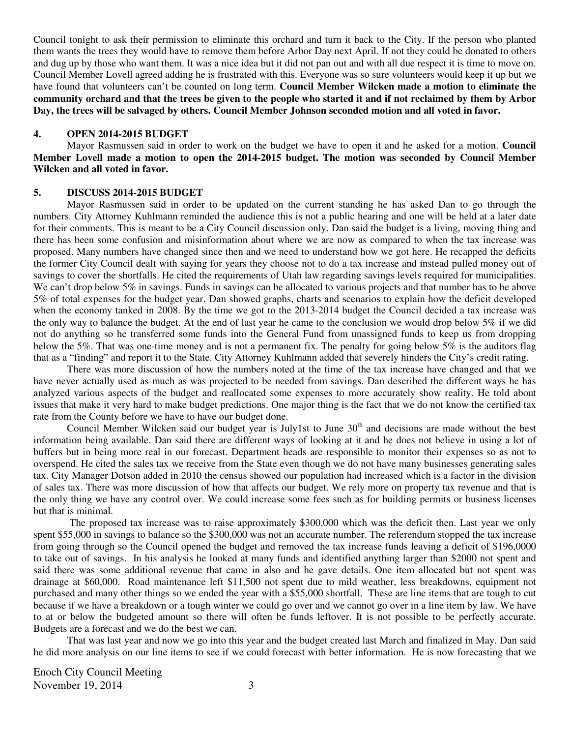Council tonight to ask their permission to eliminate this orchard and turn it back to the City. If the person who planted them wants the trees they would have to remove them before Arbor Day next April. If not they could be donated to others and dug up by those who want them. It was a nice idea but it did not pan out and with all due respect it is time to move on. Council Member Lovell agreed adding he is frustrated with this. Everyone was so sure volunteers would keep it up but we have found that volunteers can't be counted on long term. **Council Member Wilcken made a motion to eliminate the community orchard and that the trees be given to the people who started it and if not reclaimed by them by Arbor Day, the trees will be salvaged by others. Council Member Johnson seconded motion and all voted in favor.** 

#### **4. OPEN 2014-2015 BUDGET**

Mayor Rasmussen said in order to work on the budget we have to open it and he asked for a motion. **Council Member Lovell made a motion to open the 2014-2015 budget. The motion was seconded by Council Member Wilcken and all voted in favor.** 

#### **5. DISCUSS 2014-2015 BUDGET**

Mayor Rasmussen said in order to be updated on the current standing he has asked Dan to go through the numbers. City Attorney Kuhlmann reminded the audience this is not a public hearing and one will be held at a later date for their comments. This is meant to be a City Council discussion only. Dan said the budget is a living, moving thing and there has been some confusion and misinformation about where we are now as compared to when the tax increase was proposed. Many numbers have changed since then and we need to understand how we got here. He recapped the deficits the former City Council dealt with saying for years they choose not to do a tax increase and instead pulled money out of savings to cover the shortfalls. He cited the requirements of Utah law regarding savings levels required for municipalities. We can't drop below 5% in savings. Funds in savings can be allocated to various projects and that number has to be above 5% of total expenses for the budget year. Dan showed graphs, charts and scenarios to explain how the deficit developed when the economy tanked in 2008. By the time we got to the 2013-2014 budget the Council decided a tax increase was the only way to balance the budget. At the end of last year he came to the conclusion we would drop below 5% if we did not do anything so he transferred some funds into the General Fund from unassigned funds to keep us from dropping below the 5%. That was one-time money and is not a permanent fix. The penalty for going below 5% is the auditors flag that as a "finding" and report it to the State. City Attorney Kuhlmann added that severely hinders the City's credit rating.

There was more discussion of how the numbers noted at the time of the tax increase have changed and that we have never actually used as much as was projected to be needed from savings. Dan described the different ways he has analyzed various aspects of the budget and reallocated some expenses to more accurately show reality. He told about issues that make it very hard to make budget predictions. One major thing is the fact that we do not know the certified tax rate from the County before we have to have our budget done.

Council Member Wilcken said our budget year is July1st to June  $30<sup>th</sup>$  and decisions are made without the best information being available. Dan said there are different ways of looking at it and he does not believe in using a lot of buffers but in being more real in our forecast. Department heads are responsible to monitor their expenses so as not to overspend. He cited the sales tax we receive from the State even though we do not have many businesses generating sales tax. City Manager Dotson added in 2010 the census showed our population had increased which is a factor in the division of sales tax. There was more discussion of how that affects our budget. We rely more on property tax revenue and that is the only thing we have any control over. We could increase some fees such as for building permits or business licenses but that is minimal.

 The proposed tax increase was to raise approximately \$300,000 which was the deficit then. Last year we only spent \$55,000 in savings to balance so the \$300,000 was not an accurate number. The referendum stopped the tax increase from going through so the Council opened the budget and removed the tax increase funds leaving a deficit of \$196,0000 to take out of savings. In his analysis he looked at many funds and identified anything larger than \$2000 not spent and said there was some additional revenue that came in also and he gave details. One item allocated but not spent was drainage at \$60,000. Road maintenance left \$11,500 not spent due to mild weather, less breakdowns, equipment not purchased and many other things so we ended the year with a \$55,000 shortfall. These are line items that are tough to cut because if we have a breakdown or a tough winter we could go over and we cannot go over in a line item by law. We have to at or below the budgeted amount so there will often be funds leftover. It is not possible to be perfectly accurate. Budgets are a forecast and we do the best we can.

That was last year and now we go into this year and the budget created last March and finalized in May. Dan said he did more analysis on our line items to see if we could forecast with better information. He is now forecasting that we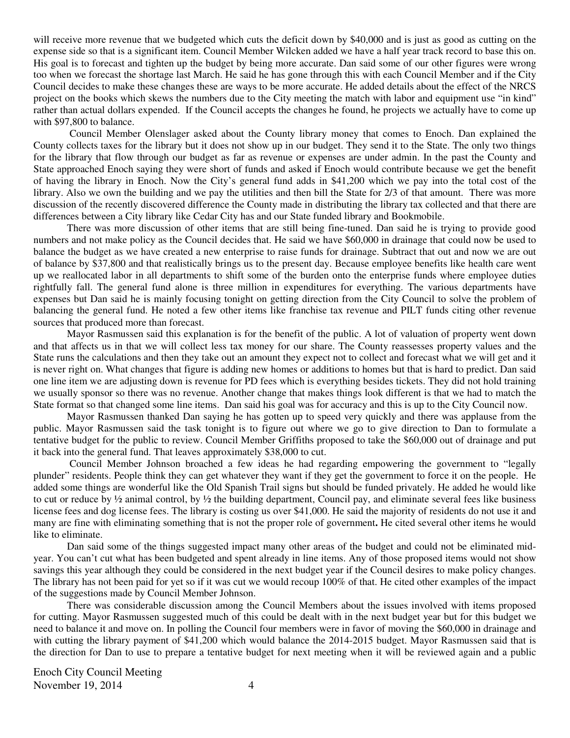will receive more revenue that we budgeted which cuts the deficit down by \$40,000 and is just as good as cutting on the expense side so that is a significant item. Council Member Wilcken added we have a half year track record to base this on. His goal is to forecast and tighten up the budget by being more accurate. Dan said some of our other figures were wrong too when we forecast the shortage last March. He said he has gone through this with each Council Member and if the City Council decides to make these changes these are ways to be more accurate. He added details about the effect of the NRCS project on the books which skews the numbers due to the City meeting the match with labor and equipment use "in kind" rather than actual dollars expended. If the Council accepts the changes he found, he projects we actually have to come up with \$97,800 to balance.

Council Member Olenslager asked about the County library money that comes to Enoch. Dan explained the County collects taxes for the library but it does not show up in our budget. They send it to the State. The only two things for the library that flow through our budget as far as revenue or expenses are under admin. In the past the County and State approached Enoch saying they were short of funds and asked if Enoch would contribute because we get the benefit of having the library in Enoch. Now the City's general fund adds in \$41,200 which we pay into the total cost of the library. Also we own the building and we pay the utilities and then bill the State for 2/3 of that amount.There was more discussion of the recently discovered difference the County made in distributing the library tax collected and that there are differences between a City library like Cedar City has and our State funded library and Bookmobile.

There was more discussion of other items that are still being fine-tuned. Dan said he is trying to provide good numbers and not make policy as the Council decides that. He said we have \$60,000 in drainage that could now be used to balance the budget as we have created a new enterprise to raise funds for drainage. Subtract that out and now we are out of balance by \$37,800 and that realistically brings us to the present day. Because employee benefits like health care went up we reallocated labor in all departments to shift some of the burden onto the enterprise funds where employee duties rightfully fall. The general fund alone is three million in expenditures for everything. The various departments have expenses but Dan said he is mainly focusing tonight on getting direction from the City Council to solve the problem of balancing the general fund. He noted a few other items like franchise tax revenue and PILT funds citing other revenue sources that produced more than forecast.

Mayor Rasmussen said this explanation is for the benefit of the public. A lot of valuation of property went down and that affects us in that we will collect less tax money for our share. The County reassesses property values and the State runs the calculations and then they take out an amount they expect not to collect and forecast what we will get and it is never right on. What changes that figure is adding new homes or additions to homes but that is hard to predict. Dan said one line item we are adjusting down is revenue for PD fees which is everything besides tickets. They did not hold training we usually sponsor so there was no revenue. Another change that makes things look different is that we had to match the State format so that changed some line items. Dan said his goal was for accuracy and this is up to the City Council now.

Mayor Rasmussen thanked Dan saying he has gotten up to speed very quickly and there was applause from the public. Mayor Rasmussen said the task tonight is to figure out where we go to give direction to Dan to formulate a tentative budget for the public to review. Council Member Griffiths proposed to take the \$60,000 out of drainage and put it back into the general fund. That leaves approximately \$38,000 to cut.

 Council Member Johnson broached a few ideas he had regarding empowering the government to "legally plunder" residents. People think they can get whatever they want if they get the government to force it on the people. He added some things are wonderful like the Old Spanish Trail signs but should be funded privately. He added he would like to cut or reduce by  $\frac{1}{2}$  animal control, by  $\frac{1}{2}$  the building department, Council pay, and eliminate several fees like business license fees and dog license fees. The library is costing us over \$41,000. He said the majority of residents do not use it and many are fine with eliminating something that is not the proper role of government**.** He cited several other items he would like to eliminate.

Dan said some of the things suggested impact many other areas of the budget and could not be eliminated midyear. You can't cut what has been budgeted and spent already in line items. Any of those proposed items would not show savings this year although they could be considered in the next budget year if the Council desires to make policy changes. The library has not been paid for yet so if it was cut we would recoup 100% of that. He cited other examples of the impact of the suggestions made by Council Member Johnson.

There was considerable discussion among the Council Members about the issues involved with items proposed for cutting. Mayor Rasmussen suggested much of this could be dealt with in the next budget year but for this budget we need to balance it and move on. In polling the Council four members were in favor of moving the \$60,000 in drainage and with cutting the library payment of \$41,200 which would balance the 2014-2015 budget. Mayor Rasmussen said that is the direction for Dan to use to prepare a tentative budget for next meeting when it will be reviewed again and a public